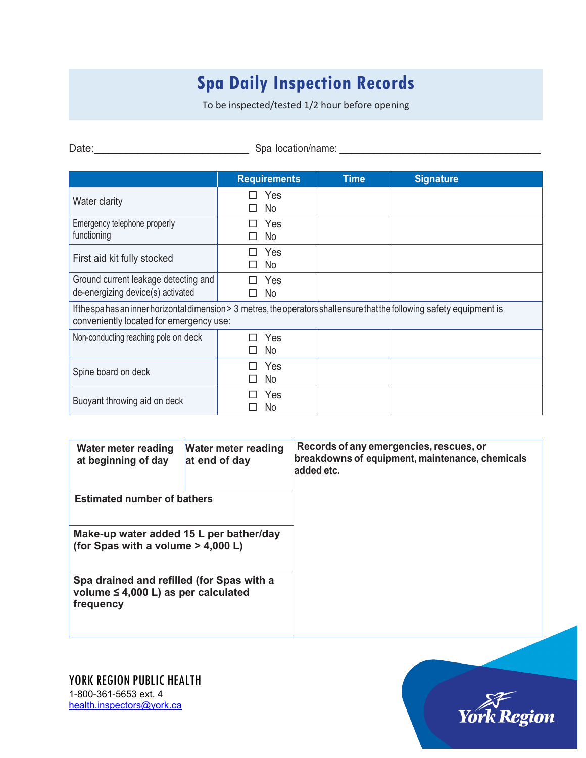## **Spa Daily Inspection Records**

To be inspected/tested 1/2 hour before opening

Date: \_\_\_\_\_\_\_\_\_\_\_\_\_\_\_\_\_\_\_\_\_\_\_\_\_\_ Spa location/name: \_\_\_\_\_\_\_\_\_\_\_\_\_\_\_\_\_\_\_\_\_\_\_\_\_\_\_\_\_\_\_\_\_\_\_

|                                                                                                                                                                       | <b>Requirements</b> | <b>Time</b> | <b>Signature</b> |  |  |  |
|-----------------------------------------------------------------------------------------------------------------------------------------------------------------------|---------------------|-------------|------------------|--|--|--|
| Water clarity                                                                                                                                                         | Yes<br>No           |             |                  |  |  |  |
| Emergency telephone properly<br>functioning                                                                                                                           | Yes<br>No           |             |                  |  |  |  |
| First aid kit fully stocked                                                                                                                                           | Yes<br>No           |             |                  |  |  |  |
| Ground current leakage detecting and<br>de-energizing device(s) activated                                                                                             | Yes<br>No           |             |                  |  |  |  |
| If the spa has an inner horizontal dimension > 3 metres, the operators shall ensure that the following safety equipment is<br>conveniently located for emergency use: |                     |             |                  |  |  |  |
| Non-conducting reaching pole on deck                                                                                                                                  | Yes<br>No           |             |                  |  |  |  |
| Spine board on deck                                                                                                                                                   | Yes<br>No           |             |                  |  |  |  |
| Buoyant throwing aid on deck                                                                                                                                          | Yes<br>No           |             |                  |  |  |  |

| Water meter reading<br>at beginning of day                                                         | Water meter reading<br>at end of day | Records of any emergencies, rescues, or<br>breakdowns of equipment, maintenance, chemicals<br>added etc. |
|----------------------------------------------------------------------------------------------------|--------------------------------------|----------------------------------------------------------------------------------------------------------|
| <b>Estimated number of bathers</b>                                                                 |                                      |                                                                                                          |
| Make-up water added 15 L per bather/day<br>(for Spas with a volume $>$ 4,000 L)                    |                                      |                                                                                                          |
| Spa drained and refilled (for Spas with a<br>volume $\leq 4,000$ L) as per calculated<br>frequency |                                      |                                                                                                          |

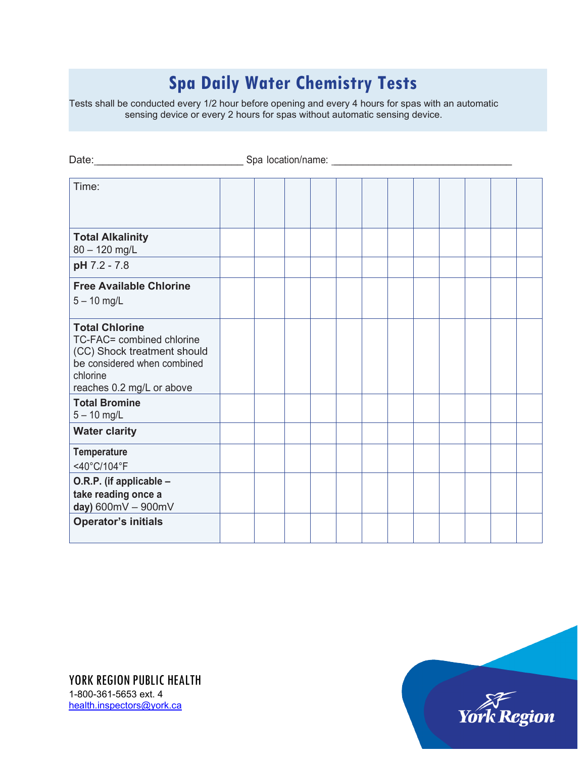## **Spa Daily Water Chemistry Tests**

Tests shall be conducted every 1/2 hour before opening and every 4 hours for spas with an automatic sensing device or every 2 hours for spas without automatic sensing device.

| Date:_______<br>Spa location/name: 1999                                                                                                                   |  |  |  |  |  |  |
|-----------------------------------------------------------------------------------------------------------------------------------------------------------|--|--|--|--|--|--|
| Time:                                                                                                                                                     |  |  |  |  |  |  |
| <b>Total Alkalinity</b><br>$80 - 120$ mg/L                                                                                                                |  |  |  |  |  |  |
| pH 7.2 - 7.8                                                                                                                                              |  |  |  |  |  |  |
| <b>Free Available Chlorine</b><br>$5 - 10$ mg/L                                                                                                           |  |  |  |  |  |  |
| <b>Total Chlorine</b><br>TC-FAC= combined chlorine<br>(CC) Shock treatment should<br>be considered when combined<br>chlorine<br>reaches 0.2 mg/L or above |  |  |  |  |  |  |
| <b>Total Bromine</b><br>$5 - 10$ mg/L                                                                                                                     |  |  |  |  |  |  |
| <b>Water clarity</b>                                                                                                                                      |  |  |  |  |  |  |
| <b>Temperature</b><br><40°C/104°F                                                                                                                         |  |  |  |  |  |  |
| O.R.P. (if applicable -<br>take reading once a<br>day) 600mV - 900mV                                                                                      |  |  |  |  |  |  |
| <b>Operator's initials</b>                                                                                                                                |  |  |  |  |  |  |

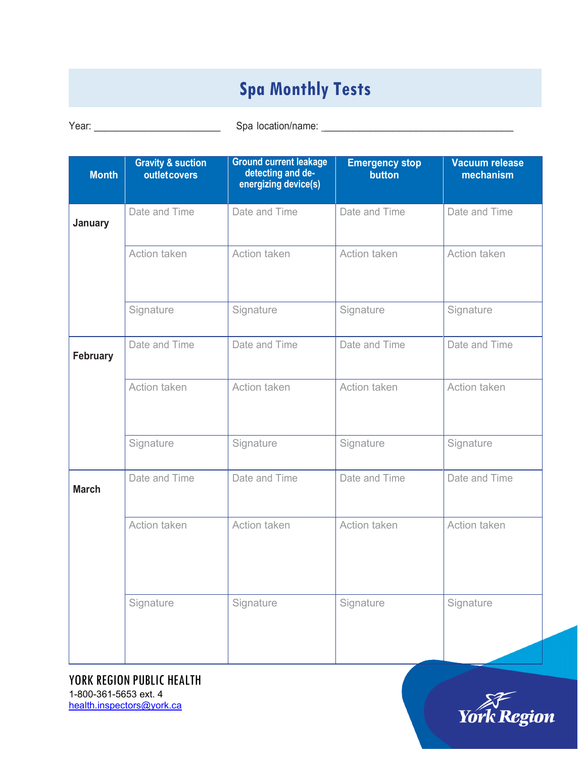## **Spa Monthly Tests**

Year: \_\_\_\_\_\_\_\_\_\_\_\_\_\_\_\_\_\_\_\_\_\_\_\_ Spa location/name: \_\_\_\_\_\_\_\_\_\_\_\_\_\_\_\_\_\_\_\_\_\_\_\_\_\_\_\_\_\_\_\_\_

| <b>Month</b> | <b>Gravity &amp; suction</b><br>outletcovers | <b>Ground current leakage</b><br>detecting and de-<br>energizing device(s) | <b>Emergency stop</b><br>button | Vacuum release<br>mechanism |
|--------------|----------------------------------------------|----------------------------------------------------------------------------|---------------------------------|-----------------------------|
| January      | Date and Time                                | Date and Time                                                              | Date and Time                   | Date and Time               |
|              | Action taken                                 | Action taken                                                               | Action taken                    | Action taken                |
|              | Signature                                    | Signature                                                                  | Signature                       | Signature                   |
| February     | Date and Time                                | Date and Time                                                              | Date and Time                   | Date and Time               |
|              | Action taken                                 | Action taken                                                               | Action taken                    | Action taken                |
|              | Signature                                    | Signature                                                                  | Signature                       | Signature                   |
| <b>March</b> | Date and Time                                | Date and Time                                                              | Date and Time                   | Date and Time               |
|              | Action taken                                 | Action taken                                                               | Action taken                    | Action taken                |
|              | Signature                                    | Signature                                                                  | Signature                       | Signature                   |

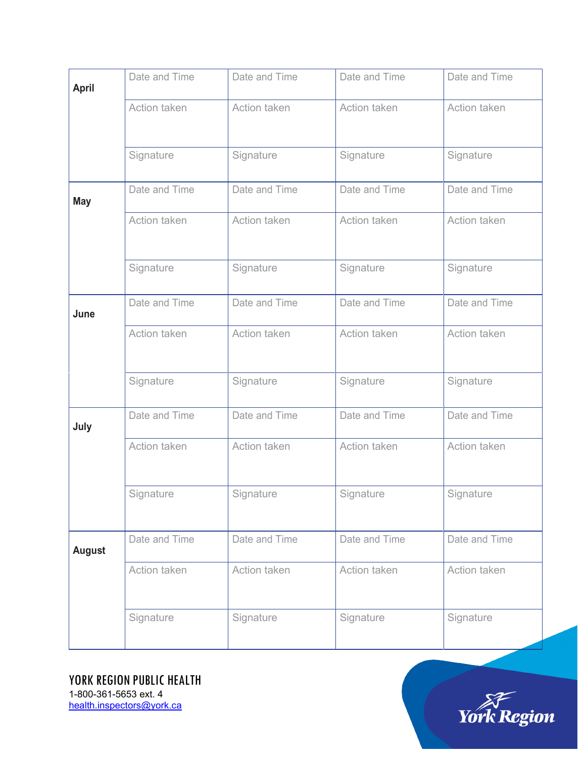| <b>April</b>  | Date and Time | Date and Time | Date and Time | Date and Time |
|---------------|---------------|---------------|---------------|---------------|
|               | Action taken  | Action taken  | Action taken  | Action taken  |
|               | Signature     | Signature     | Signature     | Signature     |
| <b>May</b>    | Date and Time | Date and Time | Date and Time | Date and Time |
|               | Action taken  | Action taken  | Action taken  | Action taken  |
|               | Signature     | Signature     | Signature     | Signature     |
| June          | Date and Time | Date and Time | Date and Time | Date and Time |
|               | Action taken  | Action taken  | Action taken  | Action taken  |
|               | Signature     | Signature     | Signature     | Signature     |
| July          | Date and Time | Date and Time | Date and Time | Date and Time |
|               | Action taken  | Action taken  | Action taken  | Action taken  |
|               | Signature     | Signature     | Signature     | Signature     |
| <b>August</b> | Date and Time | Date and Time | Date and Time | Date and Time |
|               | Action taken  | Action taken  | Action taken  | Action taken  |
|               | Signature     | Signature     | Signature     | Signature     |